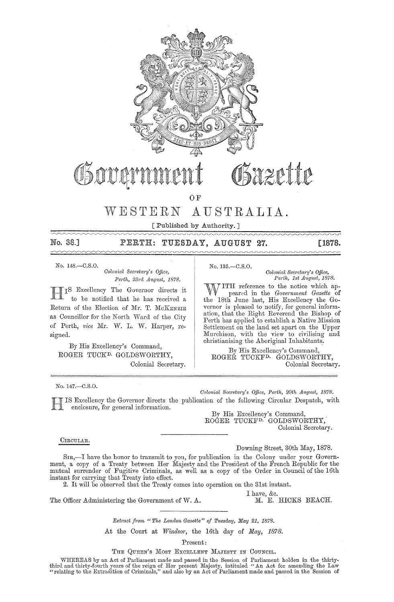

OF

#### $W E S T E R N$ AUSTRALIA.

[Published by Authority. ]

mmmm

# No. 38.] PERTH: TUESDAY, AUGUST 27. [1878.

No. 148.-C.S.0.

*Colonial Secretary's Office, Perth, 23rd Attgust, 1878.* 

HIS Excellency The Governor directs it to be notified that he has received a Return of the Election of Mr. T. McKENZIE as Councillor for the North Ward of the City of Perth, vice Mr. W. L. W. Harper, resigned.

By His Excellency's Oommand, ROGER TUCK<sup>D.</sup> GOLDSWORTHY, Oolonial Secretary. No. 135.-C.S.0.

*Colonial SeC1'eta1'y's Office, Pm·th, 1st August, 187'8.* 

<sup>-</sup>ITH reference to the notice which ap-<br>
"peared in the *Government Gazette* of the 18th June last, His Excellency the Governor is pleased to notify, for general information, that the Right Reverend the Bishop of Perth has applied to establish a Native Mission Settlement on the land set apart on the Upper Murchison, with the view to civilising and christianising the Aboriginal Inhabitants.

By His Excellency's Oommand, ROGER TUOKFD. GOLDSWORTHY, Colonial Secretary.

No. 147.-C.S.0.

*Colonial Secretary's Office, Perth, 20th August, 1878.* 

IS Excellency the Governor directs the publication of the following Oircular Despatch, with enclosure, for general information.

By His Excellency's Oommand, ROGER TUCKF<sup>D.</sup> GOLDSWORTHY, Oolonial Secretary.

# CIRCULAR.

Downing Street, 30th May, 1878.

SIR,-I have the honor to transmit to you, for publication in the Colony under your Government, a copy of a Treaty between Her Majesty and the President of the French Republic for the mutual surrender of Fugitive Oriminals, as well as a copy of the Order in Oouncil of the 16th instant for carrying that Treaty into effect.

2. It will be observed that the Treaty eomes into operation on the 31st instant.

The Officer Administering the Government of W. A.

I have, &c.<br>M. E. HICKS BEACH.

*Extract from "The London Gazette" of Tuesday, May 21, 1878.* 

At the Oourt at *Windsor,* the 16th day of *May, 1878.* 

Present:

THE QUEEN'S MOST EXCELLENT MAJESTY IN COUNCIL.

WHEREAS by an Act of Parliament made and passed in the Session of Parliament holden in the thirty-<br>third and thirty-fourth years of the reign of Her present Majesty, intituled "An Act for amending the Law<br>"relating to the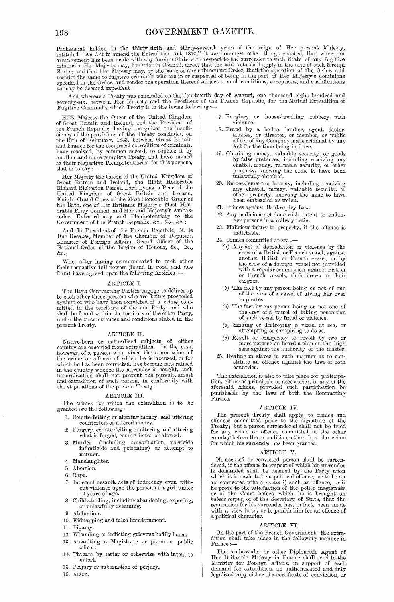Parliament holden in the thirty-sixth and thirty-seventh years of the reign of Her present Majesty,<br>intituled "An Act to amend the Extradition Act, 1870," it was amongst other things enacted, that where an<br>arrangement has specified in the Order, and render the operation thereof subject to such conditions, exceptions, and qualifications as may be deemed expedient:

And whereas a Treaty was concluded on the fourteenth day of August, one thousand eight hundred and seventy-six, between Her Majesty and the President of the French Republic, for the Mutual Extradition of Fugitive Criminals

HER Majesty the Queen of the United Kingdom<br>of Great Britain and Ireland, and the President of<br>the French Republic, having recognized the insuffi-<br>ciency of the provisions of the Treaty concluded on<br>the 13th of February, 1 as their respective Plenipotentiaries for this purpose, that is to say:

Her Majesty the Queen of the United Kingdom of First magnety the where on the other than and the higher Honorable<br>Richard Bickerton Pemell Lord Lyons, a Peer of the<br>United Kingdom of Great Britain and Ireland,<br>Knight Grand Cross of the Most Honorable Order of the Bath, one of Her Brittanic Majesty's Most Honorable Privy Council, and Her said Majesty's Ambassador Extraordinary and Plenipotentiary to the Government of the French Republic, &c., &c., &c.;

And the President of the French Republic, M. le Due Decazes, Member of the Chamber of Deputies,<br>Minister of Foreign Affairs, Grand Officer of the National Order of the Legion of Honour, &c., &c.,  $&c.$ 

Who, after having communicated to each other<br>their respective full powers (found in good and due form) have agreed upon the following Articles :-

#### ARTICLE L

The High Contracting Parties engage to deliver up the main contacting transcs engage to carrier the each other those persons who are being proceeded against or who have been convicted of a crime committed in the territory of the one Party, and who shall be found within th present Treaty.

#### ARTICLE II.

Native-born or naturalized subjects of either country are excepted from extradition. In the case, country are excepted from extradition. In the case,<br>however, of a person who, since the commission of<br>the crime or offence of which he is accused, or for<br>which he has been convicted, has become naturalized<br>in the country w

#### ARTICLE III.

The crimes for which the extradition is to be granted are the following:-

- 1. Counterfeiting or altering money, and uttering counterfeit or altered money.
- 2. Forgery, counterfeiting or altering and uttering<br>what is forged, counterfeited or altered.
- urder (including assassination, parricide<br>infanticide and poisoning) or attempt to 3. Murder murder.
- 4. Manslaughter.
- 5. Abortion.
- 6. Rape.
- 7. Indecent assault, acts of indecency even without violence upon the person of a girl under 12 years of age.
- 8. Child-stealing, including abandoning, exposing, or unlawfully detaining.
- 9. Abduction.
- 10. Kidnapping and false imprisonment.
- 11. Bigamy.
- 12. Wounding or inflicting grievous bodily harm.
- 13. Assaulting a Magistrate or peace or public officer.
- 14. Threats by letter or otherwise with intent to  $extort.$
- 15. Perjury or subornation of perjury.
- 16. Arson.
- 17. Burglary or house-breaking, robbery with violence.
- 18. Fraud by a bailee, banker, agent, factor, trustee, or director, or member, or public officer of any Company made criminal by any Act for the time being in force.
- 19. Obtaining money, valuable security, or goods by false pretences, including receiving any chattel, money, valuable security, or other property, knowing the same to have been unlawfully obtained.
- 20. Embezzlement or larceny, including receiving<br>any chattel, money, valuable security, or<br>other property, knowing the same to have been embezzled or stolen.
- 21. Crimes against Bankruptcy Law.
- 22. Any malicious act done with intent to endanger persons in a railway train.
- 23. Malicious injury to property, if the offence is indictable.
- 24. Crimes committed at sea :-
	- (a) Any act of depredation or violence by the crew of a British or French vessel, against another British or French vessel, or by the crew of a foreign vessel not provided with a regular commission, against British<br>or French vessels, their crews or their cargoes.
	- $(b) \begin{tabular}{l} The fact by any person being or not of one \\ of the crew of a vessel of giving her over \end{tabular}$ to pirates.
	- $(c)$  The fact by any person being or not one of<br>the crew of a vessel of taking possession of such vessel by fraud or violence.
	- $(d)$  Sinking or destroying a vessel at sea, or attempting or conspiring to do so.
	- (e) Revolt or conspiracy to revolt by two or more persons on board a ship on the high seas against the authority of the master.
- 25. Dealing in slaves in such manner as to constitute an offence against the laws of both countries.

The extradition is also to take place for participation, either as principals or accessories, in any of the aforesaid crimes, provided such participation be punishable by the laws of both the Contracting Parties.

### ARTICLE IV.

The present Treaty shall apply to crimes and<br>offences committed prior to the signature of the<br>Treaty; but a person surrendered shall not be tried<br>for any crime or offence committed in the other country before the extradition, other than the crime for which his surrender has been granted.

#### ARTICLE V.

No accused or convicted person shall be surrendered, if the offence in respect of which his surrender detect, in the other of the peer of which has started<br>in the definition which it is made to be a political offence, or to be an<br>act connected with *(connexe à)* such an offence, or if<br>he prove to the satisfaction of the po or of the Court before which he is brought on habeas corpus, or of the Secretary of State, that the requisition for his surrender has, in fact, been made with a view to try or to punish him for an offence of a political character.

#### ARTICLE VI.

On the part of the French Government, the extra-<br>dition shall take place in the following manner in France:

The Ambassador or other Diplomatic Agent of The Entannic Majesty in France shall send to the Minister for Foreign Affairs, in support of each demand for extradition, an authenticated and duly legalized copy either of a certificate of conviction, or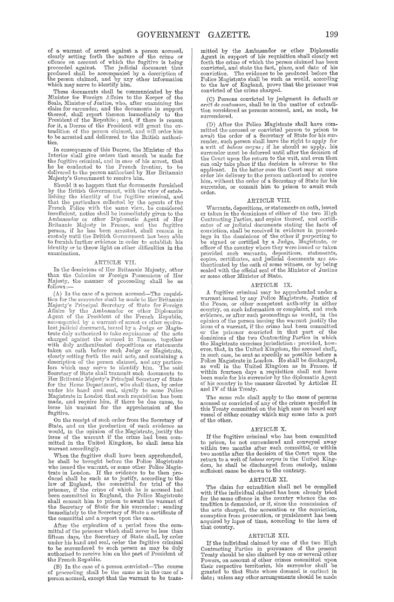of a warrant of arrest against a person accused,<br>clearly setting forth the nature of the crime or<br>offence on account of which the fugitive is being one of against. The judicial document thus<br>proceeded against. The judicial document thus<br>produced shall be accompanied by a description of<br>the person claimed, and by any other information<br>which may serve to identify him.

These documents shall be communicated by the Minister for Foreign Affairs to the Keeper of the Seals, Minister of Justice, who, after examining the claim for surrender, and the documents in support claim for surrelucity, and the cocommediately to the<br>thereof, shall report thereon immediately to the<br>President of the Republic; and, if there is reason<br>for it, a Decree of the President will grant the ex-<br>tradition of the ties.

In consequence of this Decree, the Minister of the<br>Interior shall give orders that search be made for<br>the fugitive criminal, and in case of his arrest, that<br>he be conducted to the French frontier, to be delivered to the person authorized by Her Britannic Majesty's Government to receive him.

Should it so happen that the documents furnished Should it so happen that the documents furnished<br>by the British Government, with the view of estab-<br>lishing the identity of the fugitive criminal, and<br>that the particulars collected by the agents of the<br>French Folice with to furnish further evidence in order to establish his identity or to throw light on other difficulties in the examination.

#### ARTICLE VII.

In the dominions of Her Britannic Majesty, other than the Colonies or Foreign Possessions of Her Majesty, the manner of proceeding shall be as follows:

(A) In the case of a person accused—The requisition for the surrender shall be made to Her'Britannic tion for the surrenter shall be made to Her Britannic<br>Majesty's Principal Secretary of State for Foreign<br>Affairs by the Ambassador or other Diplomatic<br>Agent of the President of the French Republic,<br>accompanied by a warrant charged against the accused in France, together charged against the accused in France, together<br>the duly authenticated depositions or statements<br>taken on oath before such Judge or Magistrate,<br>clearly setting forth the said acts, and containing a<br>description of the perso Secretary of State shall transmit such documents to Her Britannic Majesty's Principal Secretary of State for the Home Department, who shall then, by order for the number between what and seal, signify to some Police Magistrate in London that such requisition has been<br>made, and require him, if there be due cause, to<br>issue his warrant for the apprehension of the fugitive.

On the receipt of such order from the Secretary of State, and on the production of such evidence as would, in the opinion of the Magistrate, justify the issue of the warrant if the crime had been committed in the United Kingdom, he shall issue his warrant accordingly.

When the fugitive shall have been apprehended, he shall be brought before the Police Magistrate who issued the warrant, or some other Police Magistrate who issues the warrancy of some outer that is in bordon. If the evidence to be then produced shall be such as to justify, according to the law of England, the committal for trial of the prisoner, if the crime of which he i been committed in England, the Police Magistrate shall commit him to prison to await the warrant of<br>the Secretary of State for his surrender; sending<br>immediately to the Secretary of State a certificate of the committal and a report upon the case.

After the expiration of a period from the com-<br>mittal of the prisoner which shall never be less than<br>fifteen days, the Secretary of State shall, by order<br>under his hand and seal, order the fugitive criminal<br>to be surrender the French Republic.

(B) In the case of a person convicted—The course of proceeding shall be the same as in the case of a person accused, except that the warrant to be trans-

mitted by the Ambassador or other Diplomatic mitted by the Ambussiator or other Diplomated<br>Agent in support of his requisition shall dearly set<br>forth the crime of which the person claimed has been<br>convicted, and state the fact, place, and date of his<br>conviction. The to the law of England, prove that the prisoner was convicted of the crime charged.

(C) Persons convicted by judgment in default or  $arr\ell t$  de contumace, shall be in the matter of extradition considered as persons accused, and, as such, be surrendered.

(D) After the Police Magistrate shall have committed the accused or convicted person to prison to await the order of a Secretary of State for his surrender, such person shall have the right to apply for a writ of habeas corrus; if he should so apply, his surrender must be deferred until after the decision of the Court upon the return to the writ, and even then the court upon the return of the decision is adverse to the<br>applicant. In the latter case the Court may at once<br>order his delivery to the person authorized to receive<br>him, without the order of a Secretary of State for his surrender, or commit him to prison to await such order.

#### ARTICLE VIII.

Warrants, depositions, or statements on oath, issued rearrance, repositions, or statements on oath, issued<br>or taken in the dominions of either of the two High<br>Contracting Farties, and copies thereof, and certificates of or judicial documents stating the facts of conviction, shall be received in evidence in proceedenovement, start be electron to the other if purporting to<br>he signed or certified by a Judge, Magistrate, or<br>officer of the country where they were issued or taken<br>provided such warrants, depositions, statements,<br>copies, c thenticated by the oath of some witness, or by being<br>sealed with the official seal of the Minister of Justice or some other Minister of State.

#### ARTICLE IX.

A fugitive criminal may be apprehended under a warrant issued by any Police Magistrate, Justice of the Peace, or other competent authority in either country, on such information or complaint, and such evidence, or after such proceedings as would, in the opinion of the person issuing the warrant justify the since of a warrant, if the crime had been committed<br>or the prisoner convicted in that part of the<br>dominions of the two Contracting Parties in which the Magistrate exercises jurisdiction: provided, however, that, in the United Kingdom, the accused shall, in such case, be sent as speedily as possible before a Police Magistrate in London. He shall be discharged, a once magnetate in London. He shall be discharged,<br>as well in the United Kingdom as in France, if<br>within fourteen days a requisition shall not have<br>been made for his surrender by the diplomatic Agent<br>of his country in th

The same rule shall apply to the cases of persons The same rule of any of the crimes specified in<br>this Treaty committed on the high seas on board any<br>vessel of either country which may come into a port of the other.

#### ARTICLE X.

If the fugitive criminal who has been committed<br>to prison, be not surrendered and conveyed away<br>within two months after such committal, or within two months after the decision of the Court upon the return to a writ of habeas corpus in the United Kingdom, he shall be discharged from custody, unless sufficient cause be shown to the contrary.

#### ARTICLE XI.

The claim for extradition shall not be complied<br>with if the individual claimed has been already tried when the material country whence the ex-<br>tradition is demanded, or if, since the commission of the acts charged, the accusation or the conviction, exemption from prosecution, or punishment has been acquired by lapse of time, according to the laws of that country.

# $\operatorname{ARTICLE}$  XII.

If the individual claimed by one of the two High<br>Contracting Parties in pursuance of the present<br>Treaty should be also claimed by one or several other<br>Powers, on account of other crimes committed upon<br>their respective terr granted to that State whose demand is earliest in date; unless any other arrangements should be made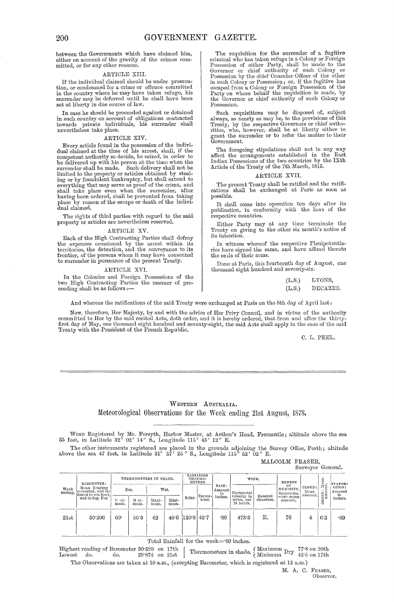between the Governments which have claimed him, either on account of the gravity of the crimes committed, or for any other reasons.

#### ARTICLE XIII.

If the individual claimed should be under prosecution, or condemned for a crime or offence committed in the country where he may have taken refuge, his surrender may be deferred until he shall have been set at liberty in due course of law.

In case he should be proceeded against or detained in such country on account of obligations contracted towards private individuals, his surrender shall nevertheless take place.

#### ARTICLE XIV.

Every article found in the possession of the individual claimed at the time of his arrest, shall, if the competent authority so decide, be seized, in order to be delivered up with his person at the time when the surrender having been ordered, shall be prevented from taking place by reason of the escape or death of the individual claimed.

The rights of third parties with regard to the said property or articles are nevertheless reserved.

#### ARTICLE XV.

Each of the High Contracting Parties shall defray the expenses occasioned by the arrest within its territories, the detention, and the conveyance to its frontier, of the persons whom it may have consented to surrender in pursuance of the present Treaty.

#### ARTICLE XVI.

In the Colonies and Foreign Possessions of the two High Contracting Parties the manner of proceeding shall be as follows :-

The requisition for the surrender of a fugitive<br>criminal who has taken refuge in a Colony or Foreign<br>Possession of either Party, shall be made to the<br>Governor or chief authority of such Colony or<br>Possession by the chief Co in such Colony or Possession; or, if the fugitive has escaped from a Colony or Foreign Possession of the Party on whose behalf the requisition is made, by the Governor or chief authority of such Colony or Possession.

Such requisitions may be disposed of, subject always, as nearly as may be, to the provisions of this Treaty, by the respective Governors or chief autho-rities, who, however, shall be at liberty either to grant the surrender or to refer the matter to their Government.

The foregoing stipulations shall not in auy way affect the arrangements established in the East Indian Possessions of the two countries by the IXth Article of the Treaty of the 7th March, lS15.

#### ARTICLE XVII.

The present Treaty shall be ratified and the ratifications shall be exchanged at Paris as soon as possible.

It shall come into operation ten days after its publication, in conformity with the laws of the respective countries.

Either Party may at any time terminate the Treaty on giving to the other six month's notice of its intention.

In witness whereof the respective Plenipotentiaries have signed the same, and have affixed thereto the sells of their arms.

Done at Paris, this fourteenth day of August, one thousand eight hundred and seventy-six.

> $(L.S.)$ (L.S.) LYONS, DECAZES.

And whereas the ratifications of the said Treaty were exchanged at Paris on the Sth day of April last :

Now, therefore, Her Majesty, by and with the advice of Her Privy Council, and in virtue of the authority committed to Her by the said recited Acts, doth order, and it is hereby ordered, that from and after the thirty-<br>first day of May, one thousand eight hundred and seventy-eight, the said Acts shall apply in the case of the

C. L. PEEL.

# WESTERN AUSTRALIA. Meteorological Observations for the Week ending 21st August, 1878.

WIND Registered by Mr. Forsyth, Harbor Master, at Arthur's Head, Fremantle; altitude above the sea 55 feet, in Latitude 32° 02' *14"* S., Longitude 115° 45' 12" E.

The other instruments registered are placed in the grounds adjoining the Survey Office, Perth; altitude above the sea 47 feet, in Latitude 31° 57' 25" S., Longitude 115° 52' 02" E.

#### MALCOLM FRASER, Surveyor General.

| Week<br>ending. | BAROMETER:<br>Mean Reading<br>corrected, and re-<br>duced to sea level.<br>and 32 deg. Fan. | THERMOMETERS IN SHADE.  |                           |               |               | RADIATION<br>THERMO-<br>METERS. |         |                       | WIND.                     |            | DEGREE                        |                          |                                 | EVAPOR-          |
|-----------------|---------------------------------------------------------------------------------------------|-------------------------|---------------------------|---------------|---------------|---------------------------------|---------|-----------------------|---------------------------|------------|-------------------------------|--------------------------|---------------------------------|------------------|
|                 |                                                                                             | Dry.                    |                           | Wet.          |               |                                 | Terres- | RAIN:<br>Amount<br>in | Horizontal<br>velocity in | General    | ОF<br>HUMIDITY.<br>Saturation | CLOUD:<br>Mean<br>amount | Mean<br>nt.<br>$\cdots$<br>ONE: | ATION:<br>Amount |
|                 |                                                                                             | $N \cdot x$ i -<br>mum. | M <sub>ni</sub> -<br>mum. | Maxi-<br>mum. | Mini-<br>mum. | Solar.                          | trial.  | inches.               | miles, per<br>24 hours.   | direction. | :=100 : mean<br>amount.       |                          | õ                               | in<br>inches.    |
| 21st            | 30.206                                                                                      | 69.                     | $50-3$                    | 62            |               | 48.6 $ 120.8 $ 42.7             |         | -89                   | 473.3                     | Ε.         | 76                            | 4                        | 6:2                             | -69              |
|                 |                                                                                             |                         |                           |               |               |                                 |         |                       |                           |            |                               |                          |                                 |                  |

Total Rainfall for the week=89 inches.

Total Rainfall for the week=89 inches.<br>
Highest reading of Barometer 30.520 on 17th Thermometers in shade. (Maximum Dry 77'8 on 20th Lowest do. do. 29:874 on 21st The Observations are taken at 10 a.m., (excepting Barometer, which is registered at 12 a.m.)

M. A. C. FRASER, Observer.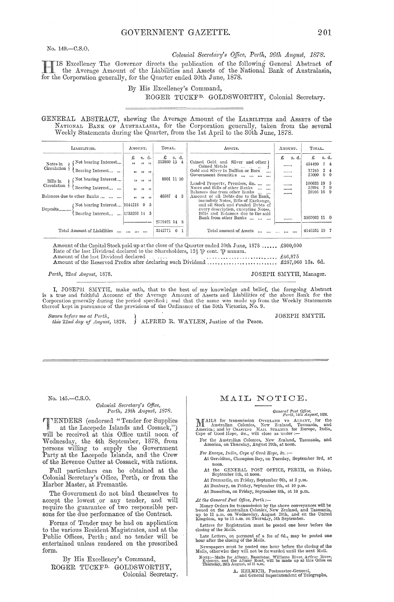No. 149.-C.S.O.

Colonial Secretary's Office, Perth, 26th August, 1878.

IS Excellency The Governor directs the publication of the following General Abstract of the Average Amount of the Liabilities and Assets of the National Bank of Australasia, for the Corporation generally, for the Quarter ended 30th June, 1878.

# By His Excellency's Command, ROGER TUCKF<sup>D.</sup> GOLDSWORTHY, Colonial Secretary.

GENERAL ABSTRACT, shewing the Average Amount of the LIABILITIES and ASSETS of the NATIONAL BANK OF AUSTRALASIA, for the Corporation generally, taken from the several Weekly Statements during the Quarter, from the 1st April to the 30th June, 1878.

| LIABILITIES.                                                                                                                                                                                                                                             | AMOUNT.                                                                                                         | TOTAL.                                                  | ASSETS.                                                                                                                                                                                                                                                                                                                                                                                                                                                                  | AMOUNT.                            | TOTAL.                                                                                                                |  |
|----------------------------------------------------------------------------------------------------------------------------------------------------------------------------------------------------------------------------------------------------------|-----------------------------------------------------------------------------------------------------------------|---------------------------------------------------------|--------------------------------------------------------------------------------------------------------------------------------------------------------------------------------------------------------------------------------------------------------------------------------------------------------------------------------------------------------------------------------------------------------------------------------------------------------------------------|------------------------------------|-----------------------------------------------------------------------------------------------------------------------|--|
| Not bearing Interest<br>Notes in<br>Circulation<br>Bearing Interest<br>Not bearing Interest<br>Bills in<br>Circulation<br>Bearing Interest<br>Balances due to other Banks<br>Not bearing Interest 1044218<br>Deposits<br>Bearing Interest  (1735203 14 3 | £<br>s. d.<br>$, \,$<br>, 2, 3<br>, 2, 3<br>$22 \t 32 \t 32$<br>22, 22, 22<br>$53-1$<br>22.22<br>0 <sub>5</sub> | £<br>s. d.<br>313860 15 4<br>8901 11 10<br>40587<br>4 3 | Coined Gold and Silver and other<br>Coined Metals<br>the complete state and<br>Gold and Silver in Bullion or Bars<br>$\cdots$<br>Government Securities<br>Landed Property, Premises, &c.<br>Notes and Bills of other Banks<br>$\cdots$<br>Balances due from other Banks<br>Amount of all Debts due to the Bank.<br>including Notes, Bills of Exchange,<br>and all Stock and Funded Debts of<br>every description, excepting Notes,<br>Bills and Balances due to the said | £<br>s. d.<br><br><br><br><br><br> | £<br>s. d.<br>74<br>434490<br>24<br>17245<br>$0\quad 0$<br>25000<br>100633 19 5<br>$2\sqrt{9}$<br>32994<br>29105 16 9 |  |
|                                                                                                                                                                                                                                                          |                                                                                                                 | 2779421 14 8                                            | Bank from other Banks                                                                                                                                                                                                                                                                                                                                                                                                                                                    |                                    | 3507062 11 0                                                                                                          |  |
| Total Amount of Liabilities                                                                                                                                                                                                                              |                                                                                                                 | 3142771<br>-6                                           | Total amount of Assets                                                                                                                                                                                                                                                                                                                                                                                                                                                   |                                    | 4146531 19 7                                                                                                          |  |

Amount of the Capital Stock paid up at the close of the Quarter ended 30th June, 1878 ...... £800,000 Rate of the last Dividend declared to the Shareholders,  $12\frac{1}{2}$   $\mathcal{P}$  cent.  $\mathcal{P}$  annum. Amount of the last Dividend declared 

Perth, 22nd August, 1878.

JOSEPH SMYTH, Manager.

I, JOSEPH SMYTH, make oath, that to the best of my knowledge and belief, the foregoing Abstract<br>is a true and faithful Account of the Average Amount of Assets and Liabilities of the above Bank for the<br>Corporation generally

 $\begin{tabular}{ll} \textit{Sworn before me at Perth,} & & \textit{if a 1878.} \\ \textit{this 22nd day of August, 1878.} & \textit{ALFRED R. WAYLEN, Justice of the Peace.} \end{tabular}$ 

JOSEPH SMYTH.

No. 145 .- C.S.O.

#### Colonial Secretary's Office, Perth, 19th August, 1878.

**TTENDERS** (endorsed "Tender for Supplies<br>at the Lacenede Islands and Correct " at the Lacepede Islands and Cossack,") will be received at this Office until noon of Wednesday, the 4th September, 1878, from<br>persons willing to supply the Government<br>Party at the Lacepede Islands, and the Crew of the Revenue Cutter at Cossack, with rations.

Full particulars can be obtained at the Colonial Secretary's Office, Perth, or from the Harbor Master, at Fremantle.

The Government do not bind themselves to accept the lowest or any tender, and will require the guarantee of two responsible persons for the due performance of the Contract.

Forms of Tender may be had on application to the various Resident Magistrates, and at the Public Offices, Perth; and no tender will be entertained unless rendered on the prescribed form.

By His Excellency's Command, ROGER TUCKF<sup>D.</sup> GOLDSWORTHY, Colonial Secretary.

# MAIL NOTICE.

General Post Office,<br>Perth, 14th August, 1878.

MAILS for transmission OVERLAND TO ALBANY, for the Marian Colonies, New Zealand, Tasmania, and America; and the Coastrue Matter for Europe, India, Cape of Good Hope, &c., will close as under :-

For the Australian Colonies, New Zealand, Tasmania, and America, on Thursday, August 29th, at noon.

For Europe, India, Cape of Good Hope, &c. :-

At Geraldton, Champion Bay, on Tuesday, September 3rd, at

noon.<br>
At the GENERAL POST OFFICE, PERTH, on Friday,<br>
September 6th, at noon.<br>
At Fremantle, on Friday, September 6th, at 2 p.m.

At Bunbury, on Friday, September 6th, at 10 p.m.

At Busselton, on Friday, September 6th, at 10 p.m.

At the General Post Office, Perth:-

At the creater of Yost Office, Ferth. —<br>Money Orders for transmission by the above conveyances will be<br>issued on the Australian Colonies, New Zealand, and Tasmania,<br>up to 11 a.m. on Wednesday, August 28th, and on the Unite

Letters for Registration must be posted one hour before the closing of the Mails.

Late Letters, on payment of a fee of 6d., may be posted one<br>hour after the closing of the Mails.<br>Newspapers must be posted one hour before the closing of the<br>Mails, otherwise they will not be forwarded until the next Mail.

 $\textsc{Norm} \rightarrow \textsc{Main}$  for Albany, Baumister, Williams River, Arthur River, Kojonup, and the Albany Road, will be made up at this Office on Thursday, 20th August, at II a.m.

A. HELMICH, Postmaster-General, and General Superintendent of Telegraphs.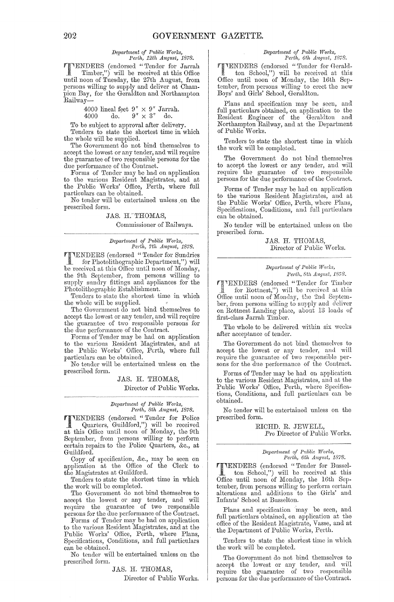#### *Depa7·t1nent of Pnblic Works, Perth, 12th August, 1878.*

TENDERS (endorsed "Tender for Jarrah") \_ Timber,") will be received at this Office until noon of Tuesday, the 27th August, from persons willing to supply and deliver at Ohampion Bay, for the Geraldton and Northampton Railway-

4000 lineal feet  $9'' \times 9''$  Jarrah.

 $4000 \, \, \text{do.} \, \, 9'' \times 3'' \, \, \text{do.}$ 

To be subject to approval after delivery.

Tenders to state the shortest time in which the whole will be supplied.

The Government do not bind themselves to accept the lowest or any tender, and will require the guarantee of two responsible persons for the due performance of the Oontract.

Forms of Tender may be had on application to the various Resident Magistrates, and at the Public Works' Office, Perth, where full particulars can be obtained.

No tender will be entertained unless on the prescribed form.

### JAS. H,"THOMAS,

## Oommissioner of Railways.

*Department of Public Works,*<br> *Perth, 7th August, 1878.* 

TTENDERS (endorsed "Tender for Sundries for Photolithographic Department,") will be received at this Office until noon of Monday, the 9th September, from persons willing to supply sundry fittings and appliances for the Photolithographic Establishment.

Tenders to state the shortest time in which the whole will be supplied.

The Government do not bind themselves to accept the lowest or any tender, and will require the guarantee of two responsible persons for the due performance of the Contract.

Forms of'Tender may be had on application to tbe various Resident Magistrates, and at the Public Works' Office, Perth, where full particulars can be obtained.

No tendor will be entertained unless on the prescribed form.

JAS. H. THOMAS,

Director of Public Works.

# *Department of Public Works, Perth, 8th August, 1878.*

TENDERS (cndorsed "Tender for Police Quarters, Guildford,") will be received at this Office until noon of Monday, the 9th September, from persons willing to perform certain repairs to the Police Quarters, &c., at Guildford.

Copy of specification, &c., may be seen on application at the Office of the Clerk to the Magistrates at Guildford.

Tenders to state the shortest time in which the work will be completed.

The Government do not bind themselves to accept the lowest or any tender, and will require the guarantee of two responsible persons for the due performance of the Contract.

Forms of Tender may be had on application to the various Residcnt Magistrates, and at the Public Works' Office, Perth, where Plans, Specifications, Conditions, and full particulars can be obtained.

No tender will be entertained unless on the prescribed form.

JAS. H. THOMAS,

Director of Public Works.

#### *Depa?·tment of P1,blie Works,*  Perth, 6th August, 1878.

**TTENDERS** (endorsed "Tender for Gerald-<br>ton School,") will be received at this 1ENDERS (endorsed" Tender for Gcrald-Office until noon of Monday, the 16th September, from persons willing to erect the new Boys' and Girls' School, Geraldton.

Plans and specification may he scen, and full particulars obtained, on application to the Resident Engineer of the Geraldton and Northampton Railway, and at the Department of Public Works.

Tenders to state the shortest time in which the work will be completed.

The Government do not bind themselves to accept the lowest or any tender, and will require the guarantee of two responsible persons for the due performance of the Contract.

Forms of Tender may be had on application to the various Resident Magistrates, and at the Public Works' Office, Perth, where Plans, Specifications, Conditions, and full particulars can be obtained.

No tender will be entertained unless on the prescribed form.

> JAS. H. THOMAS, Director of Public Works.

#### *Department of Public Works,* Perth, *Sth August, 1878.*

'1l"ENDERS (endorsed" Tender for Timber 11. for Rottnest,") will be received at this Office until noon of Monday, the 2nd September, from persons willing to supply and deliver on Rottnest Landing place, about 13 loads of first-class Jarrah Timber.

The whole to be delivered within six weeks after acceptance of tender.

The Government do not bind themselves to accept the lowest or any tender, and will require the guarantee of two responsible persons for the due performance of the Contract.

Forms of Tender may be had on application to the various Resident Magistrates, and at the Public Works' Office, Perth, where Specifications, Conditions, and full particulars can be obtained.

No tender will be entertained unless on the prescribed form.

> RICHD. R. JEWELL, Pro Director of Public Works.

*Department of Public Works, Perth, 6th August, 1878.* 

TENDERS (endorsed "Tender for Bussel-<br>ton School,") will be received at this Office until noon of Monday, the 16th September, from persons willing to perform certain alterations and additions to the Girls' and Infants' School at Busselton.

Plans and specification may be seen, and full particulars obtained, on application at the office of the Resident Magistrate, Vasse, and at the Department of Public Works, Perth.

Tenders to state the shortest time in which the work will be completed.

The Government do not bind themselves to accept the'lowest or any tender, and will require the guarantee of two responsible persons for the due performance of the Contract.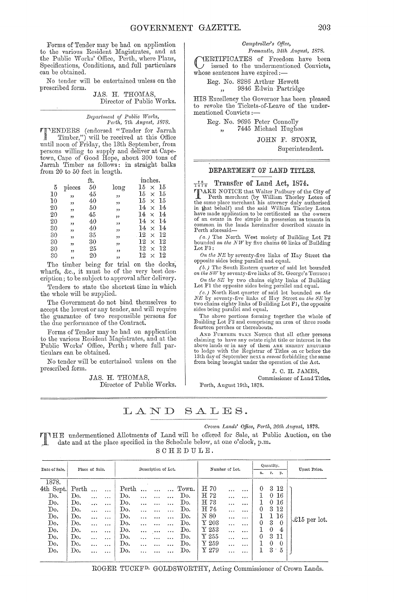Forms of Tender may be had on application to the various Resident Magistrates, and at the Public Works' Office, Perth, where Plans, Specifications, Conditions, and full particulars can be obtained.

No tender will be entertained unless on the prescribed form.

JAS. H. THOMAS. Director of Public Works.

*Del)a1'tinent of PubLic TVol'/'s, Pe1'th, 7th August, 1878.* 

TENDERS (endorsed "Tender for Jarrah")<br>
Timber,") will be received at this Office<br>
wurid noon of Fuder, the 13th Sontember from until noon of Friday, the 13th September, from persons willing to supply and deliver at Capetown, Cape of Good Hope, about 300 tons of Jarrah Timber as follows: in straight balks from 20 to 50 feet in length.

|    |        | ft. |      | inches.              |
|----|--------|-----|------|----------------------|
| 5  | pieces | 50  | long | 15<br>15<br>$\times$ |
| 10 | ,,     | 45  | , ,  | 15<br>15<br>$\times$ |
| 10 | ,,     | 40  | ,,   | 15<br>15<br>$\times$ |
| 20 | "      | 50  | "    | 14<br>14<br>$\times$ |
| 20 | ,,     | 45  | ,,   | 14<br>14<br>$\times$ |
| 20 | "      | 40  | ,,   | 14<br>14<br>X        |
| 30 | , 2, 3 | 40  | ,,   | 14<br>14<br>$\times$ |
| 30 | ,,     | 35  | ,,   | 12<br>12<br>$\times$ |
| 30 | "      | 30  | ,,   | 12<br>12<br>$\times$ |
| 30 | ,,     | 25  | ,,   | 12<br>12<br>$\times$ |
| 30 | ,,     | 20  | ,,   | 12<br>12<br>$\times$ |

The timber being for trial on the docks, wharfs, &c., it must be of the very best description; to be subject to approval after delivery.

Tenders to state the shortest time in which the whole will be supplied.

The Government do not bind themselves to accept the lowest or any tender, and will require the guarantee of two responsible persons for the due performance of the Contract.

Forms of Tender may be had on application to the various Re3ident Magistrates, and at the Public Works' Office, Perth; where full particulars can be obtained.

No tender will be entertained unless on the prescribed form.

> JAS. H. THOMAS, Director of Public Works.

*Fremantle, 24th A1.gust, 1878.* 

CERTIFICATES of Freedom have been issued to the undermentioned Convicts, whose sentences have expired:-

Reg. No. 8286 Arthur Hewett 9846 Edwin Partridge

HIS Excellency the Governor has been pleased to revoke the Tickets-of-Leave of the undermentioned Convicts :-

Reg. No. 9695 Peter Connolly 7445 Michael Hughes

JOHN F. STONE,

Superintendent.

#### DEPARTMENT OF LAND TITLES.

# $\frac{7.8}{1878}$  Transfer of Land Act, 1874.

TAKE NOTICE that Walter Padbury of the City of<br>Perth merchant (by William Thorley Loton of<br>the same place merchant his attorney duly authorised<br>in that behalf) and the said William Thorley Loton<br>have made application to be common in the lands hereinafter described situate in Perth aforesaid-

*(a.)* The North West moiety of Building Lot F2 bounded *on the* NW by five chains 60 links of Building Lot F3:

*On the NE* by seventy-five links of Hay Street the opposite sides being parallel and equal.

*(b.)* The Sonth Eastern quarter of said lot bounded on the SW by seventy-five links of St. George's Terrace:

*On the SE* by two chains eighty links of Building Lot Fl the opposite sides being parallel and equal.

*(e.)* North East quarter of said lot bounded *on the NB* by seventy-five links of Hay Street *on the SB* by two chains eighty links of Building Lot Fl, the opposite sides being parallel and equal.

The above portions forming together the whole of Building Lot F2 and comprising an area of three roods fourteen perches or thereabouts.

AND FURTHER TAKE NOTICE that all other persons claiming to have any estate right title or interest in the above lands or in any of them ARE HEREBY REQUIRED<br>to lodge with the Registrar of Titles on or before the 13th day of September next a *caveat* forbidding the same from being brought under the operation of the Act.

J. C. H. JAMES,

Commissioner of Land Titles. Perth, August 19th, 1878.

#### LAND SALES.

#### *Crown Lands' Office, Perth, 26th August, 1878.*

IHE undermentioned Allotments of Land will be offered for Sale, at Public Auction, on the . date and at the place specified in the Schedule below, at one o'clock, p.m. SCHEDULE.

|  | СНЕРОТЕ. |  |  |  |  |  |  |  |
|--|----------|--|--|--|--|--|--|--|
|--|----------|--|--|--|--|--|--|--|

| Date of Sale. | Place of Sale. |           |           | Description of Lot. |           |           |          |       | Number of Lot.  |           |           | Quantity. |          |          | Upset Price.    |  |
|---------------|----------------|-----------|-----------|---------------------|-----------|-----------|----------|-------|-----------------|-----------|-----------|-----------|----------|----------|-----------------|--|
|               |                |           |           |                     |           |           |          |       |                 |           |           | a.        | r.       | р.       |                 |  |
| 1878.         |                |           |           |                     |           |           |          |       |                 |           |           |           |          |          |                 |  |
| Sept.<br>4th  | Perth          |           | $\cdots$  | Perth               |           |           |          | Town. | H <sub>70</sub> |           | .         | 0         | 3        | 12       |                 |  |
| Do.           | Do.            |           | $\cdot$   | Do.                 | $\ddotsc$ | $\cdots$  | $\cdots$ | Do.   | H 72            |           |           |           | $\theta$ | 16       |                 |  |
| Do.           | Do.            | $\ddotsc$ | $\cdots$  | Do.                 | $\cdots$  | $\ddotsc$ | .        | Do.   | H 73            | $\cdots$  |           |           | $\Omega$ | 16       |                 |  |
| Do.           | Do.            | $\cdots$  |           | Do.                 | $\ddotsc$ | $\cdots$  | $\cdots$ | Do.   | H 74            | $\cdots$  | $\cdots$  | 0         | 3        | 12       |                 |  |
| Do.           | Do.            |           | $\ddotsc$ | Do.                 |           | $\cdots$  | $\cdots$ | Do.   | N 80            | $\cdots$  | $\cdots$  |           | 1        | 16       | $\&15$ per lot. |  |
| Do.           | Do.            | $\ddotsc$ | $\ddotsc$ | Do.                 |           |           | $\cdots$ | Do.   | $\rm Y$ 203     |           | $\ddotsc$ | $\theta$  | 3        | $\theta$ |                 |  |
| Do.           | Do.            | .         | $\ddotsc$ | Do.                 | $\cdots$  |           | $\cdots$ | Do.   | $\rm{Y}$ 253    |           | $\cdots$  |           | $\theta$ | 4        |                 |  |
| Do.           | Do.            |           | $\cdots$  | Do.                 |           |           |          | Do.   | $\rm{Y}$ 255    | $\ddotsc$ | $\cdots$  | $\theta$  | 3        | 11       |                 |  |
| Do.           | Do.            | .         | $\cdots$  | Do.                 | .         |           | $\cdots$ | Do.   | $\rm Y$ 259     |           | $\cdots$  | 1         | $\theta$ | 0        |                 |  |
| Do.           | Do.            | .         | $\cdots$  | Do.                 |           | $\cdots$  |          | Do.   | $\rm Y$ 279     | .         | $\ddotsc$ |           | 3        | 5        |                 |  |
|               |                |           |           |                     |           |           |          |       |                 |           |           |           |          |          |                 |  |